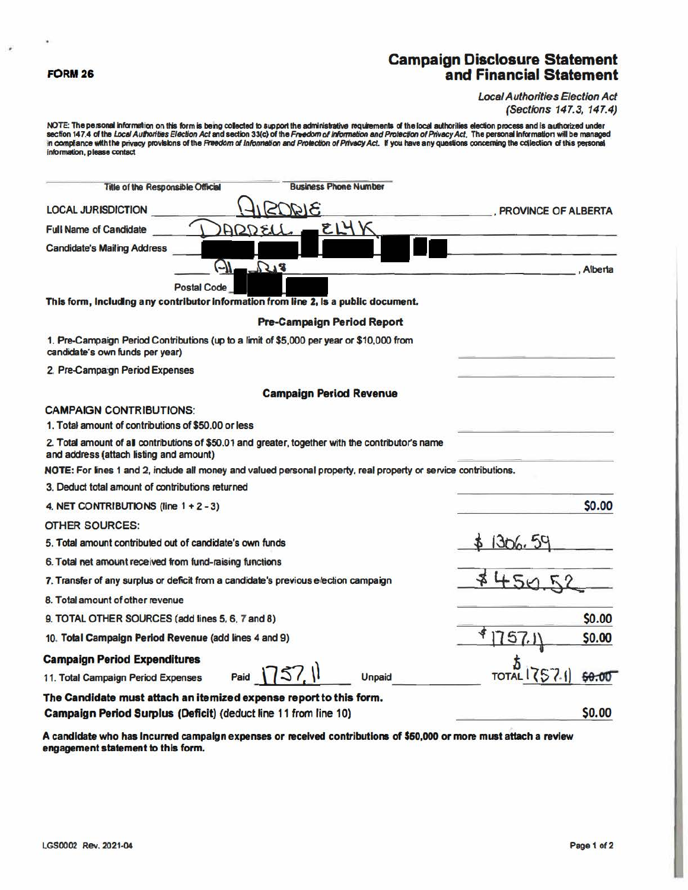#### FORM 26

 $\bar{\phantom{a}}$ 

¥

# **Campaign Disclosure Statement**<br>and Financial Statement

**Local Authorities Election Act** (Sections 147.3, 147.4)

NOTE: The personal information on this form is being collected to support the administrative requirements of the local authorities election process and is authorized under<br>section 147.4 of the *Local Authorities Election A* information, please contact

| <b>Business Phone Number</b><br>Title of the Responsible Official                                                                            |                     |
|----------------------------------------------------------------------------------------------------------------------------------------------|---------------------|
| <b>LOCAL JURISDICTION</b>                                                                                                                    | PROVINCE OF ALBERTA |
| E14V<br>ADQ<br><b>Full Name of Candidate</b>                                                                                                 |                     |
| <b>Candidate's Mailing Address</b>                                                                                                           |                     |
| (-)I<br>218                                                                                                                                  | Alberta             |
| <b>Postal Code</b>                                                                                                                           |                     |
| This form, including any contributor information from line 2, is a public document.                                                          |                     |
| <b>Pre-Campaign Period Report</b>                                                                                                            |                     |
| 1. Pre-Campaign Period Contributions (up to a limit of \$5,000 per year or \$10,000 from<br>candidate's own funds per year)                  |                     |
| 2. Pre-Campa:gn Period Expenses                                                                                                              |                     |
| <b>Campaign Period Revenue</b>                                                                                                               |                     |
| <b>CAMPAIGN CONTRIBUTIONS:</b>                                                                                                               |                     |
| 1. Total amount of contributions of \$50,00 or less                                                                                          |                     |
| 2. Total amount of all contributions of \$50.01 and greater, together with the contributor's name<br>and address (attach listing and amount) |                     |
| NOTE: For lines 1 and 2, include all money and valued personal property, real property or service contributions.                             |                     |
| 3. Deduct total amount of contributions returned                                                                                             |                     |
| 4. NET CONTRIBUTIONS (line $1 + 2 - 3$ )                                                                                                     | \$0.00              |
| <b>OTHER SOURCES:</b>                                                                                                                        |                     |
| 5. Total amount contributed out of candidate's own funds                                                                                     | 1306.5              |
| 6. Total net amount received from fund-raising functions                                                                                     |                     |
| 7. Transfer of any surplus or deficit from a candidate's previous election campaign                                                          |                     |
| 8. Total amount of other revenue                                                                                                             |                     |
| 9. TOTAL OTHER SOURCES (add lines 5, 6, 7 and 8)                                                                                             | <b>SO.00</b>        |
| 10. Total Campaign Period Revenue (add lines 4 and 9)                                                                                        | 5<br>\$0.00         |
| <b>Campaign Period Expenditures</b>                                                                                                          |                     |
| 1571<br>Paid  <br>Unpaid<br>11. Total Campaign Period Expenses                                                                               | TOTAL               |
| The Candidate must attach an itemized expense report to this form.                                                                           |                     |
| Campaign Period Surplus (Deficit) (deduct line 11 from line 10)                                                                              | \$0.00              |

A candidate who has incurred campaign expenses or received contributions of \$50,000 or more must attach a review engagement statement to this form.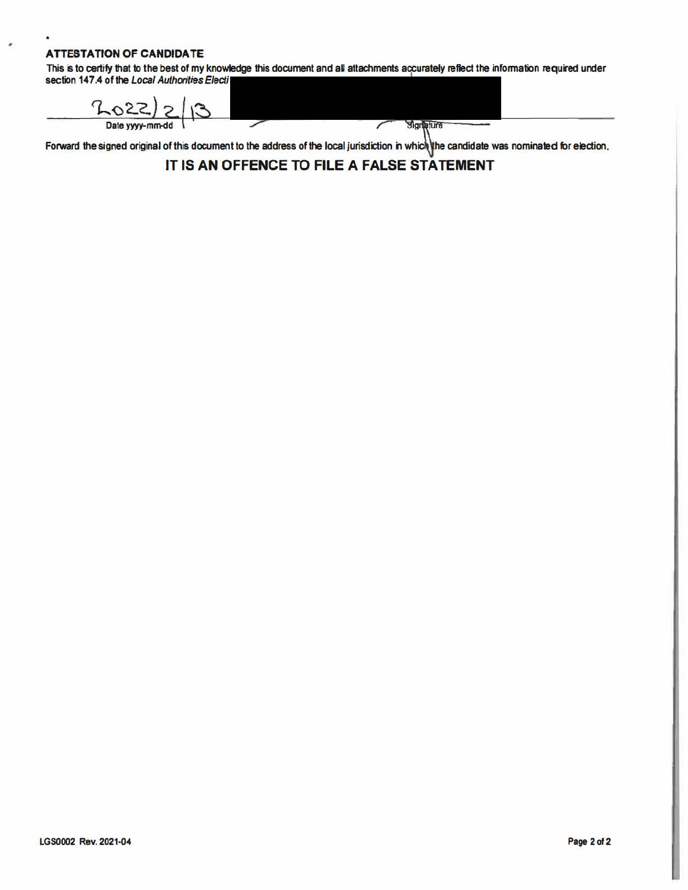#### **ATTESTATION OF CANDIDATE**

 $\bullet$ 

 $\bullet$ 

This is to certify that to the best of my knowledge this document and all attachments accurately reflect the information required under section 147.4 of the Local Authorities Electi

 $202222$ Date yyyy-mm-dd Signature  $\overline{\phantom{a}}$ 

Forward the signed original of this document to the address of the local jurisdiction in which the candidate was nominated for election.

### IT IS AN OFFENCE TO FILE A FALSE STATEMENT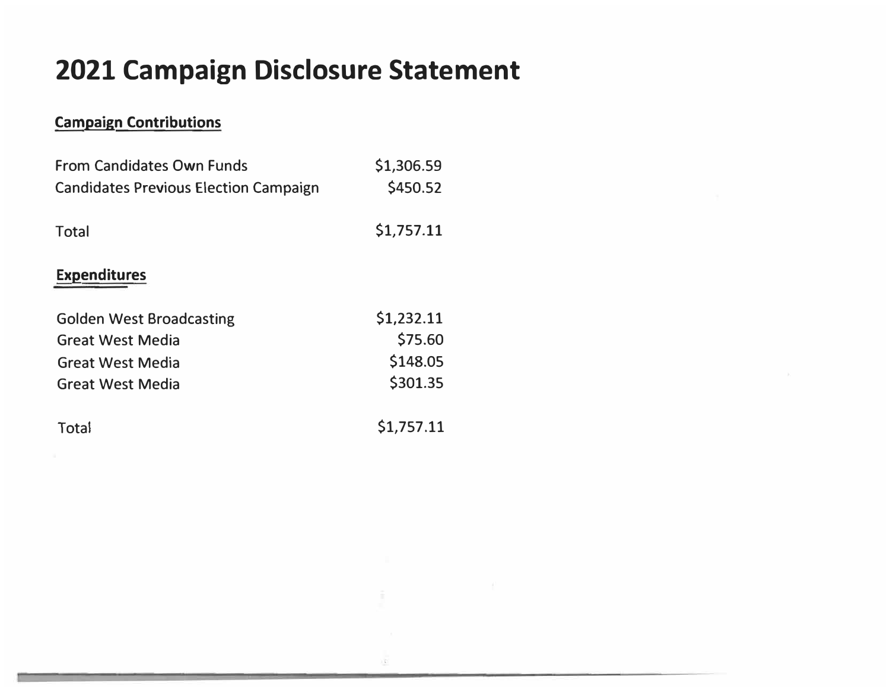# **2021 Campaign Disclosure Statement**

## **Campaign Contributions**

| <b>From Candidates Own Funds</b><br><b>Candidates Previous Election Campaign</b>                                 | \$1,306.59<br>\$450.52                        |
|------------------------------------------------------------------------------------------------------------------|-----------------------------------------------|
| <b>Total</b>                                                                                                     | \$1,757.11                                    |
| <b>Expenditures</b>                                                                                              |                                               |
| <b>Golden West Broadcasting</b><br><b>Great West Media</b><br><b>Great West Media</b><br><b>Great West Media</b> | \$1,232.11<br>\$75.60<br>\$148.05<br>\$301.35 |
| Total                                                                                                            | \$1,757.11                                    |

×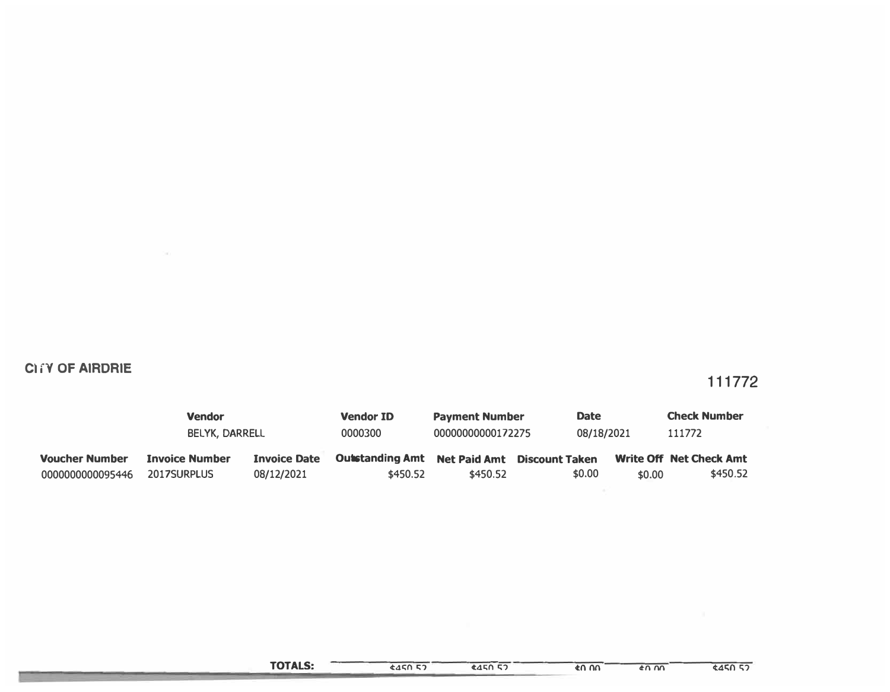### **CITY OF AIRDRIE**

 $-200$ 

### 111772

|                       | <b>Vendor</b>         |                     | <b>Vendor ID</b>       | <b>Payment Number</b>              |        | <b>Date</b> | <b>Check Number</b>            |
|-----------------------|-----------------------|---------------------|------------------------|------------------------------------|--------|-------------|--------------------------------|
|                       | BELYK, DARRELL        |                     | 0000300                | 00000000000172275                  |        | 08/18/2021  | 111772                         |
| <b>Voucher Number</b> | <b>Invoice Number</b> | <b>Invoice Date</b> | <b>Outstanding Amt</b> | <b>Net Paid Amt Discount Taken</b> |        |             | <b>Write Off Net Check Amt</b> |
| 0000000000095446      | 2017SURPLUS           | 08/12/2021          | \$450.52               | \$450.52                           | \$0.00 | \$0.00      | \$450.52                       |

 $445052$ 

 $\frac{1}{40}$  on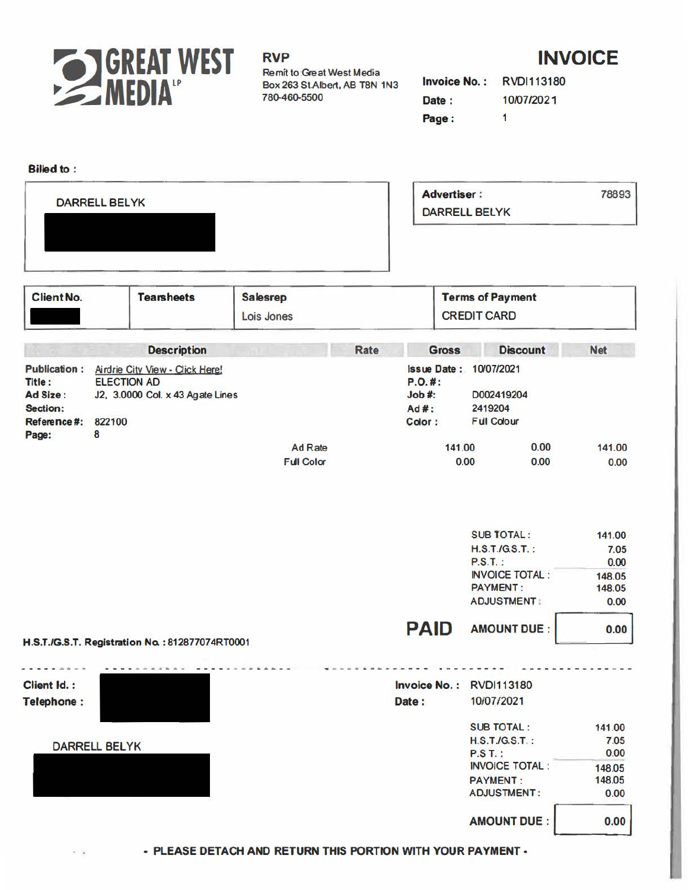

#### RVP

Remit to:Great West Media Box 263 St.Albert, AB T8N 1N3 780-460-5500

## **INVOICE**

|       | <b>Invoice No.: RVDI113180</b> |
|-------|--------------------------------|
| Date: | 10/07/2021                     |
| Page: | $\mathbf{1}$                   |

#### **Billed** to : **Advertiser** : 78893 DARRELL BELYK DARRELL BELYK Client No. **Tearsheets**  Client No. **Salesrep Terms of Payment**  CREDIT CARD Lois Jones **Gross Discount Net Description Rate Publication** : Airdrie City *View•* Qjck Here' **Issue Date :** 10/07/2021 **P.O.#: Title** : ELECTION AD **Ad Size** : J2, 3.0000 Col. x 43 Agate Lines **Job#:** 0002419204 **Section: Ad#:** 2419204 **Color:** Ful Cdour **Reference#:** 822100 **Page:** 8 141.00 0.00 141.00 Ad Rate 0.00 0.00 0.00 Ful Color SUB TOTAL : 141.00 H.S.T./GS.T. : 7.05 P.S.T. : **0.00**  INVOICE TOTAL : 148.05 **PAYMENT:** 148.05 ADJUSTMENT . **0.00 PAID**  AMOUNT DUE : 0.00 **H.S.T./G.S.T. Registration No.** :812877074RT0001 . . . . *.* . . . **Client Id. : Invoice No.** : RVDl113180 **Telephone:** Date: 10/07/2021 SUB TOTAL : 141.00 DARRELL BELYK 7.05<br>P.S.T. : 7.05<br>P.S.T. : 7.05 **P.S.T.:** INVOICE TOTAL : 148.05 PAYMENT : 148.05 ADJUSTMENT : 0.00 AMOUNT DUE :  $\vert$  0.00

- **PLEASE DETACH AND RETURN THIS PORTION WITH YOUR PAYMENT -**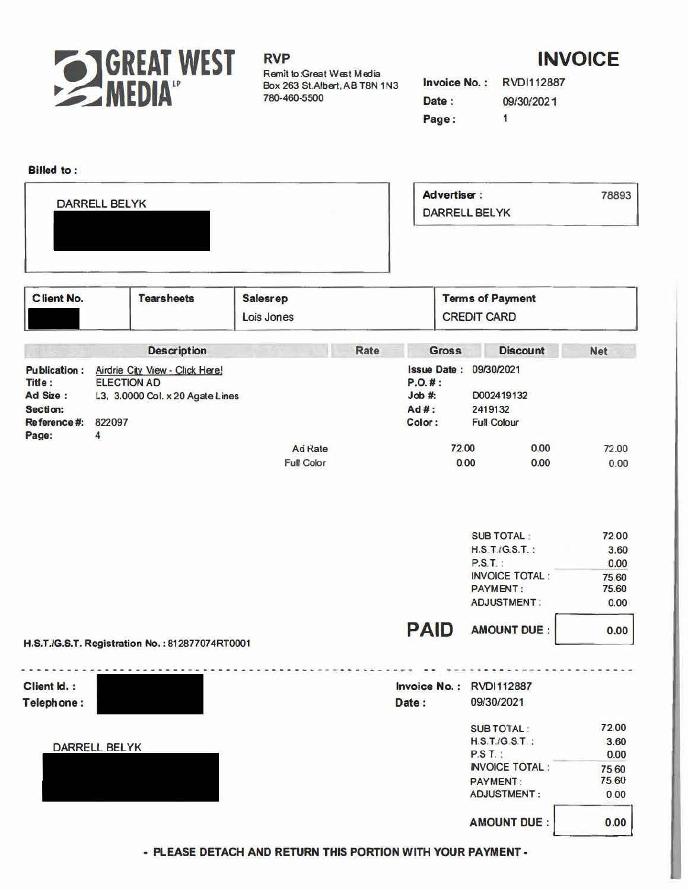

# **INVOICE**

Invoice No.: RVDI112887 09/30/2021 Date:  $\overline{1}$ Page:

| <b>Advertiser:</b><br><b>DARRELL BELYK</b><br><b>DARRELL BELYK</b><br><b>Client No.</b><br><b>Tearsheets</b><br><b>Terms of Payment</b><br><b>Salesrep</b><br><b>CREDIT CARD</b><br>Lois Jones<br>Rate<br><b>Description</b><br><b>Discount</b><br><b>Gross</b><br><b>Issue Date:</b><br>09/30/2021<br><b>Publication:</b><br>Airdrie City View - Click Here!<br><b>ELECTION AD</b><br>P.0.#:<br>Title:<br>Ad Size:<br>Job #:<br>D002419132<br>L3, 3.0000 Col. x 20 Agate Lines<br>Ad#:<br>Section:<br>2419132<br>Reference #:<br>822097<br>Color:<br><b>Full Colour</b><br>Page:<br>$\overline{\mathbf{4}}$<br>72.00<br>0.00<br>Ad Rate<br><b>Full Color</b><br>0.00<br>0.00<br><b>SUB TOTAL:</b><br><b>H.S.T./G.S.T.:</b><br>$P.S.T.$ :<br><b>INVOICE TOTAL:</b><br><b>PAYMENT:</b><br><b>ADJUSTMENT:</b><br><b>PAID</b><br><b>AMOUNT DUE:</b><br><b>Invoice No.:</b><br><b>RVDI112887</b><br>09/30/2021<br>Date:<br><b>SUB TOTAL:</b><br>$H.S.T./G.S.T.$ :<br><b>DARRELL BELYK</b><br>P.S.T.<br><b>INVOICE TOTAL:</b><br><b>PAYMENT:</b><br><b>ADJUSTMENT:</b><br><b>AMOUNT DUE:</b> | <b>Billed</b> to: |  |  |       |                       |
|-----------------------------------------------------------------------------------------------------------------------------------------------------------------------------------------------------------------------------------------------------------------------------------------------------------------------------------------------------------------------------------------------------------------------------------------------------------------------------------------------------------------------------------------------------------------------------------------------------------------------------------------------------------------------------------------------------------------------------------------------------------------------------------------------------------------------------------------------------------------------------------------------------------------------------------------------------------------------------------------------------------------------------------------------------------------------------------------|-------------------|--|--|-------|-----------------------|
|                                                                                                                                                                                                                                                                                                                                                                                                                                                                                                                                                                                                                                                                                                                                                                                                                                                                                                                                                                                                                                                                                         |                   |  |  | 78893 |                       |
|                                                                                                                                                                                                                                                                                                                                                                                                                                                                                                                                                                                                                                                                                                                                                                                                                                                                                                                                                                                                                                                                                         |                   |  |  |       |                       |
|                                                                                                                                                                                                                                                                                                                                                                                                                                                                                                                                                                                                                                                                                                                                                                                                                                                                                                                                                                                                                                                                                         |                   |  |  |       |                       |
|                                                                                                                                                                                                                                                                                                                                                                                                                                                                                                                                                                                                                                                                                                                                                                                                                                                                                                                                                                                                                                                                                         |                   |  |  |       |                       |
|                                                                                                                                                                                                                                                                                                                                                                                                                                                                                                                                                                                                                                                                                                                                                                                                                                                                                                                                                                                                                                                                                         |                   |  |  |       | <b>Net</b>            |
|                                                                                                                                                                                                                                                                                                                                                                                                                                                                                                                                                                                                                                                                                                                                                                                                                                                                                                                                                                                                                                                                                         |                   |  |  |       |                       |
|                                                                                                                                                                                                                                                                                                                                                                                                                                                                                                                                                                                                                                                                                                                                                                                                                                                                                                                                                                                                                                                                                         |                   |  |  |       |                       |
| H.S.T./G.S.T. Registration No.: 812877074RT0001<br>Client Id.:<br>Telephone:                                                                                                                                                                                                                                                                                                                                                                                                                                                                                                                                                                                                                                                                                                                                                                                                                                                                                                                                                                                                            |                   |  |  |       | 72.00                 |
|                                                                                                                                                                                                                                                                                                                                                                                                                                                                                                                                                                                                                                                                                                                                                                                                                                                                                                                                                                                                                                                                                         |                   |  |  |       | 0.00                  |
|                                                                                                                                                                                                                                                                                                                                                                                                                                                                                                                                                                                                                                                                                                                                                                                                                                                                                                                                                                                                                                                                                         |                   |  |  |       | 72.00<br>3.60<br>0.00 |
|                                                                                                                                                                                                                                                                                                                                                                                                                                                                                                                                                                                                                                                                                                                                                                                                                                                                                                                                                                                                                                                                                         |                   |  |  |       | 75.60                 |
|                                                                                                                                                                                                                                                                                                                                                                                                                                                                                                                                                                                                                                                                                                                                                                                                                                                                                                                                                                                                                                                                                         |                   |  |  |       | 75.60<br>0.00         |
|                                                                                                                                                                                                                                                                                                                                                                                                                                                                                                                                                                                                                                                                                                                                                                                                                                                                                                                                                                                                                                                                                         |                   |  |  |       | 0.00                  |
|                                                                                                                                                                                                                                                                                                                                                                                                                                                                                                                                                                                                                                                                                                                                                                                                                                                                                                                                                                                                                                                                                         |                   |  |  |       |                       |
|                                                                                                                                                                                                                                                                                                                                                                                                                                                                                                                                                                                                                                                                                                                                                                                                                                                                                                                                                                                                                                                                                         |                   |  |  |       |                       |
|                                                                                                                                                                                                                                                                                                                                                                                                                                                                                                                                                                                                                                                                                                                                                                                                                                                                                                                                                                                                                                                                                         |                   |  |  |       | 72.00                 |
|                                                                                                                                                                                                                                                                                                                                                                                                                                                                                                                                                                                                                                                                                                                                                                                                                                                                                                                                                                                                                                                                                         |                   |  |  |       | 3.60<br>0.00          |
|                                                                                                                                                                                                                                                                                                                                                                                                                                                                                                                                                                                                                                                                                                                                                                                                                                                                                                                                                                                                                                                                                         |                   |  |  |       | 75.60<br>75.60        |
|                                                                                                                                                                                                                                                                                                                                                                                                                                                                                                                                                                                                                                                                                                                                                                                                                                                                                                                                                                                                                                                                                         |                   |  |  |       | 0.00                  |
|                                                                                                                                                                                                                                                                                                                                                                                                                                                                                                                                                                                                                                                                                                                                                                                                                                                                                                                                                                                                                                                                                         |                   |  |  |       | 0.00                  |

- PLEASE DETACH AND RETURN THIS PORTION WITH YOUR PAYMENT -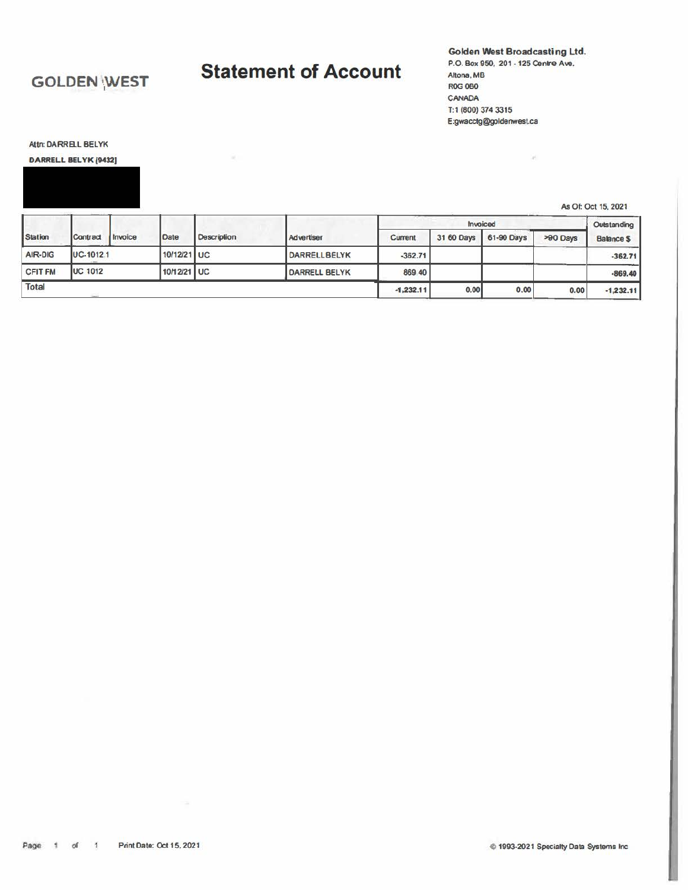### **GOLDEN WEST**

# **Statement of Account**

 $\mathcal{H}_{\mathcal{C}}$ 

Golden West Broadcasting Ltd. P.O. Box 950, 201 - 125 Centre Ave. Altona, MB **ROG 0B0** CANADA T:1 (800) 374 3315 E:gwacctg@goldenwest.ca

 $\sigma^{\rm c}$ 

Attn: DARRELL BELYK

#### DARRELL BELYK [9432]

As Of: Oct 15, 2021

|                |                 |         |             |             |                      |             | Invoiced   |            |          | Outstanding       |
|----------------|-----------------|---------|-------------|-------------|----------------------|-------------|------------|------------|----------|-------------------|
| Station        | Contract        | Invoice | Date        | Description | Advertiser           | Current     | 31 60 Days | 61-90 Days | >90 Days | <b>Balance \$</b> |
| AIR-DIG        | $UC-10121$      |         | 10/12/21 UC |             | <b>DARRELLBELYK</b>  | $-362.71$   |            |            |          | $-362.71$         |
| <b>CFIT FM</b> | <b>UC 1012</b>  |         | 10/12/21 UC |             | <b>DARRELL BELYK</b> | 869 40      |            |            |          | $-869.40$         |
| Total          | <b>STATE OF</b> |         |             |             |                      | $-1,232.11$ | 0,00       | 0.00       | 0.00     | $-1,232.11$       |